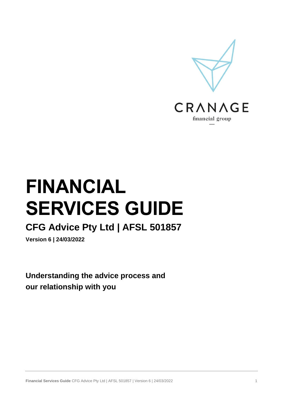

# **FINANCIAL SERVICES GUIDE**

# **CFG Advice Pty Ltd | AFSL 501857**

**Version 6 | 24/03/2022**

**Understanding the advice process and our relationship with you**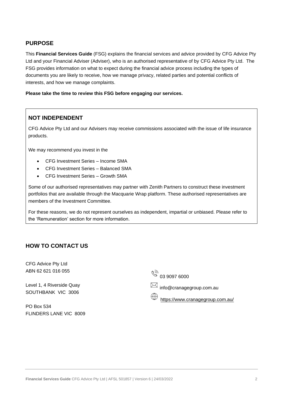# **PURPOSE**

This **Financial Services Guide** (FSG) explains the financial services and advice provided by CFG Advice Pty Ltd and your Financial Adviser (Adviser), who is an authorised representative of by CFG Advice Pty Ltd. The FSG provides information on what to expect during the financial advice process including the types of documents you are likely to receive, how we manage privacy, related parties and potential conflicts of interests, and how we manage complaints.

**Please take the time to review this FSG before engaging our services.**

# **NOT INDEPENDENT**

CFG Advice Pty Ltd and our Advisers may receive commissions associated with the issue of life insurance products.

We may recommend you invest in the

- CFG Investment Series Income SMA
- CFG Investment Series Balanced SMA
- CFG Investment Series Growth SMA

Some of our authorised representatives may partner with Zenith Partners to construct these investment portfolios that are available through the Macquarie Wrap platform. These authorised representatives are members of the Investment Committee.

For these reasons, we do not represent ourselves as independent, impartial or unbiased. Please refer to the 'Remuneration' section for more information.

#### **HOW TO CONTACT US**

CFG Advice Pty Ltd ABN 62 621 016 055

Level 1, 4 Riverside Quay SOUTHBANK VIC 3006

PO Box 534 FLINDERS LANE VIC 8009  $\sqrt[6]{\mathbb{Z}}$  03 9097 6000

 $\boxtimes$  info@cranagegroup.com.au

<https://www.cranagegroup.com.au/>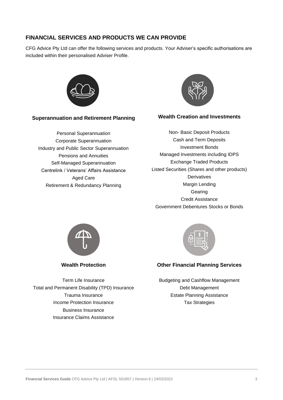# **FINANCIAL SERVICES AND PRODUCTS WE CAN PROVIDE**

CFG Advice Pty Ltd can offer the following services and products. Your Adviser's specific authorisations are included within their personalised Adviser Profile.



#### **Superannuation and Retirement Planning**

Personal Superannuation Corporate Superannuation Industry and Public Sector Superannuation Pensions and Annuities Self-Managed Superannuation Centrelink / Veterans' Affairs Assistance Aged Care Retirement & Redundancy Planning



#### **Wealth Creation and Investments**

Non- Basic Deposit Products Cash and Term Deposits Investment Bonds Managed Investments including IDPS Exchange Traded Products Listed Securities (Shares and other products) **Derivatives** Margin Lending Gearing Credit Assistance Government Debentures Stocks or Bonds



**Wealth Protection**

Term Life Insurance Total and Permanent Disability (TPD) Insurance Trauma Insurance Income Protection Insurance Business Insurance Insurance Claims Assistance



#### **Other Financial Planning Services**

Budgeting and Cashflow Management Debt Management Estate Planning Assistance Tax Strategies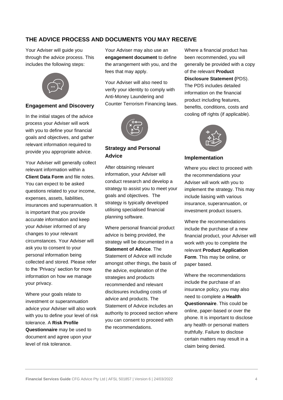# **THE ADVICE PROCESS AND DOCUMENTS YOU MAY RECEIVE**

Your Adviser will guide you through the advice process. This includes the following steps:



#### **Engagement and Discovery**

In the initial stages of the advice process your Adviser will work with you to define your financial goals and objectives, and gather relevant information required to provide you appropriate advice.

Your Adviser will generally collect relevant information within a **Client Data Form** and file notes. You can expect to be asked questions related to your income, expenses, assets, liabilities, insurances and superannuation. It is important that you provide accurate information and keep your Adviser informed of any changes to your relevant circumstances. Your Adviser will ask you to consent to your personal information being collected and stored. Please refer to the 'Privacy' section for more information on how we manage your privacy.

Where your goals relate to investment or superannuation advice your Adviser will also work with you to define your level of risk tolerance. A **Risk Profile Questionnaire** may be used to document and agree upon your level of risk tolerance.

Your Adviser may also use an **engagement document** to define the arrangement with you, and the fees that may apply.

Your Adviser will also need to verify your identity to comply with Anti-Money Laundering and Counter Terrorism Financing laws.



# **Strategy and Personal Advice**

After obtaining relevant information, your Adviser will conduct research and develop a strategy to assist you to meet your goals and objectives. The strategy is typically developed utilising specialised financial planning software.

Where personal financial product advice is being provided, the strategy will be documented in a **Statement of Advice**. The Statement of Advice will include amongst other things, the basis of the advice, explanation of the strategies and products recommended and relevant disclosures including costs of advice and products. The Statement of Advice includes an authority to proceed section where you can consent to proceed with the recommendations.

Where a financial product has been recommended, you will generally be provided with a copy of the relevant **Product Disclosure Statement (**PDS). The PDS includes detailed information on the financial product including features, benefits, conditions, costs and cooling off rights (if applicable).



#### **Implementation**

Where you elect to proceed with the recommendations your Adviser will work with you to implement the strategy. This may include liaising with various insurance, superannuation, or investment product issuers.

Where the recommendations include the purchase of a new financial product, your Adviser will work with you to complete the relevant **Product Application Form**. This may be online, or paper based.

Where the recommendations include the purchase of an insurance policy, you may also need to complete a **Health Questionnaire**. This could be online, paper-based or over the phone. It is important to disclose any health or personal matters truthfully. Failure to disclose certain matters may result in a claim being denied.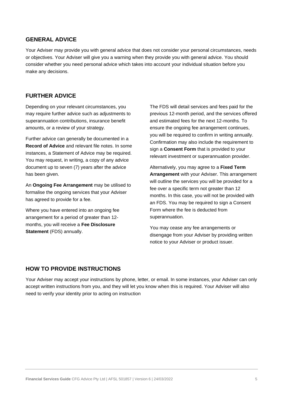## **GENERAL ADVICE**

Your Adviser may provide you with general advice that does not consider your personal circumstances, needs or objectives. Your Adviser will give you a warning when they provide you with general advice. You should consider whether you need personal advice which takes into account your individual situation before you make any decisions.

#### **FURTHER ADVICE**

Depending on your relevant circumstances, you may require further advice such as adjustments to superannuation contributions, insurance benefit amounts, or a review of your strategy.

Further advice can generally be documented in a **Record of Advice** and relevant file notes. In some instances, a Statement of Advice may be required. You may request, in writing, a copy of any advice document up to seven (7) years after the advice has been given.

An **Ongoing Fee Arrangement** may be utilised to formalise the ongoing services that your Adviser has agreed to provide for a fee.

Where you have entered into an ongoing fee arrangement for a period of greater than 12 months, you will receive a **Fee Disclosure Statement** (FDS) annually.

The FDS will detail services and fees paid for the previous 12-month period, and the services offered and estimated fees for the next 12-months. To ensure the ongoing fee arrangement continues, you will be required to confirm in writing annually. Confirmation may also include the requirement to sign a **Consent Form** that is provided to your relevant investment or superannuation provider.

Alternatively, you may agree to a **Fixed Term Arrangement** with your Adviser. This arrangement will outline the services you will be provided for a fee over a specific term not greater than 12 months. In this case, you will not be provided with an FDS. You may be required to sign a Consent Form where the fee is deducted from superannuation.

You may cease any fee arrangements or disengage from your Adviser by providing written notice to your Adviser or product issuer.

## **HOW TO PROVIDE INSTRUCTIONS**

Your Adviser may accept your instructions by phone, letter, or email. In some instances, your Adviser can only accept written instructions from you, and they will let you know when this is required. Your Adviser will also need to verify your identity prior to acting on instruction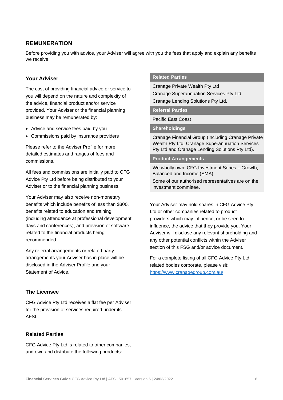# **REMUNERATION**

Before providing you with advice, your Adviser will agree with you the fees that apply and explain any benefits we receive.

#### **Your Adviser**

The cost of providing financial advice or service to you will depend on the nature and complexity of the advice, financial product and/or service provided. Your Adviser or the financial planning business may be remunerated by:

- Advice and service fees paid by you
- Commissions paid by insurance providers

Please refer to the Adviser Profile for more detailed estimates and ranges of fees and commissions.

All fees and commissions are initially paid to CFG Advice Pty Ltd before being distributed to your Adviser or to the financial planning business.

Your Adviser may also receive non-monetary benefits which include benefits of less than \$300, benefits related to education and training (including attendance at professional development days and conferences), and provision of software related to the financial products being recommended.

Any referral arrangements or related party arrangements your Adviser has in place will be disclosed in the Adviser Profile and your Statement of Advice.

#### **The Licensee**

CFG Advice Pty Ltd receives a flat fee per Adviser for the provision of services required under its AFSL.

#### **Related Parties**

CFG Advice Pty Ltd is related to other companies, and own and distribute the following products:

#### **Related Parties**

Cranage Private Wealth Pty Ltd Cranage Superannuation Services Pty Ltd. Cranage Lending Solutions Pty Ltd.

#### **Referral Parties**

Pacific East Coast

**Shareholdings**

Cranage Financial Group (including Cranage Private Wealth Pty Ltd, Cranage Superannuation Services Pty Ltd and Cranage Lending Solutions Pty Ltd).

#### **Product Arrangements**

We wholly own: CFG Investment Series – Growth, Balanced and Income (SMA).

Some of our authorised representatives are on the investment committee.

Your Adviser may hold shares in CFG Advice Pty Ltd or other companies related to product providers which may influence, or be seen to influence, the advice that they provide you. Your Adviser will disclose any relevant shareholding and any other potential conflicts within the Adviser section of this FSG and/or advice document.

For a complete listing of all CFG Advice Pty Ltd related bodies corporate, please visit: <https://www.cranagegroup.com.au/>